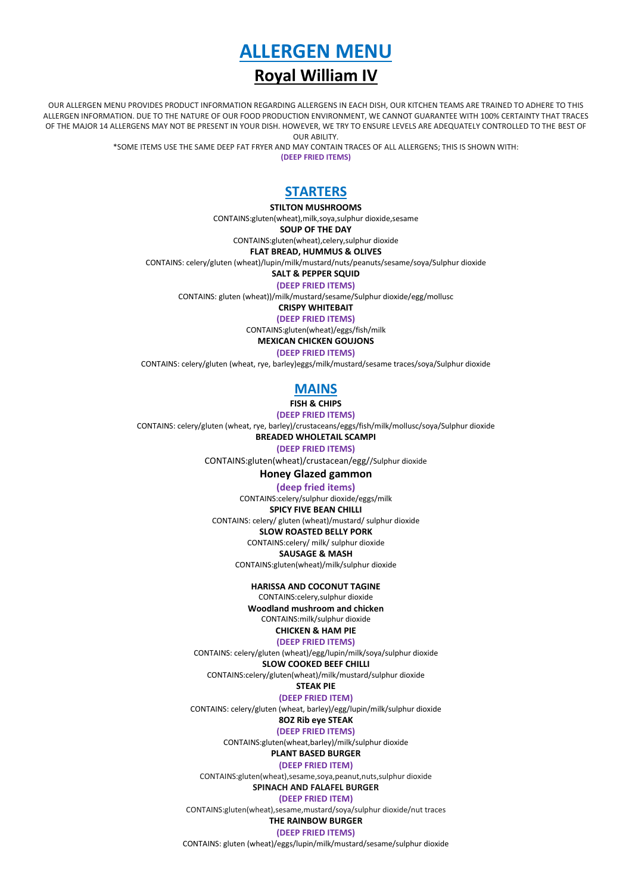

# **Royal William IV**

OUR ALLERGEN MENU PROVIDES PRODUCT INFORMATION REGARDING ALLERGENS IN EACH DISH, OUR KITCHEN TEAMS ARE TRAINED TO ADHERE TO THIS ALLERGEN INFORMATION. DUE TO THE NATURE OF OUR FOOD PRODUCTION ENVIRONMENT, WE CANNOT GUARANTEE WITH 100% CERTAINTY THAT TRACES OF THE MAJOR 14 ALLERGENS MAY NOT BE PRESENT IN YOUR DISH. HOWEVER, WE TRY TO ENSURE LEVELS ARE ADEQUATELY CONTROLLED TO THE BEST OF OUR ABILITY.

\*SOME ITEMS USE THE SAME DEEP FAT FRYER AND MAY CONTAIN TRACES OF ALL ALLERGENS; THIS IS SHOWN WITH:

**(DEEP FRIED ITEMS)**

# **STARTERS**

**STILTON MUSHROOMS**

CONTAINS:gluten(wheat),milk,soya,sulphur dioxide,sesame

**SOUP OF THE DAY**

CONTAINS:gluten(wheat),celery,sulphur dioxide

**FLAT BREAD, HUMMUS & OLIVES**

CONTAINS: celery/gluten (wheat)/lupin/milk/mustard/nuts/peanuts/sesame/soya/Sulphur dioxide

**SALT & PEPPER SQUID (DEEP FRIED ITEMS)**

CONTAINS: gluten (wheat))/milk/mustard/sesame/Sulphur dioxide/egg/mollusc

**CRISPY WHITEBAIT**

**(DEEP FRIED ITEMS)** CONTAINS:gluten(wheat)/eggs/fish/milk

**MEXICAN CHICKEN GOUJONS**

**(DEEP FRIED ITEMS)**

CONTAINS: celery/gluten (wheat, rye, barley)eggs/milk/mustard/sesame traces/soya/Sulphur dioxide

# **MAINS**

**FISH & CHIPS**

**(DEEP FRIED ITEMS)**

CONTAINS: celery/gluten (wheat, rye, barley)/crustaceans/eggs/fish/milk/mollusc/soya/Sulphur dioxide

**BREADED WHOLETAIL SCAMPI** 

**(DEEP FRIED ITEMS)**

CONTAINS:gluten(wheat)/crustacean/egg//Sulphur dioxide

**Honey Glazed gammon** 

#### **(deep fried items)**

CONTAINS:celery/sulphur dioxide/eggs/milk

**SPICY FIVE BEAN CHILLI**

CONTAINS: celery/ gluten (wheat)/mustard/ sulphur dioxide

**SLOW ROASTED BELLY PORK**

CONTAINS:celery/ milk/ sulphur dioxide

**SAUSAGE & MASH**  CONTAINS:gluten(wheat)/milk/sulphur dioxide

**HARISSA AND COCONUT TAGINE**

CONTAINS:celery,sulphur dioxide **Woodland mushroom and chicken** 

#### CONTAINS:milk/sulphur dioxide **CHICKEN & HAM PIE**

### **(DEEP FRIED ITEMS)**

CONTAINS: celery/gluten (wheat)/egg/lupin/milk/soya/sulphur dioxide

**SLOW COOKED BEEF CHILLI**

CONTAINS:celery/gluten(wheat)/milk/mustard/sulphur dioxide

# **STEAK PIE**

**(DEEP FRIED ITEM)**

CONTAINS: celery/gluten (wheat, barley)/egg/lupin/milk/sulphur dioxide

#### **8OZ Rib eye STEAK (DEEP FRIED ITEMS)**

CONTAINS:gluten(wheat,barley)/milk/sulphur dioxide

**PLANT BASED BURGER**

#### **(DEEP FRIED ITEM)**

CONTAINS:gluten(wheat),sesame,soya,peanut,nuts,sulphur dioxide

### **SPINACH AND FALAFEL BURGER**

### **(DEEP FRIED ITEM)**

CONTAINS:gluten(wheat),sesame,mustard/soya/sulphur dioxide/nut traces **THE RAINBOW BURGER**

#### **(DEEP FRIED ITEMS)**

CONTAINS: gluten (wheat)/eggs/lupin/milk/mustard/sesame/sulphur dioxide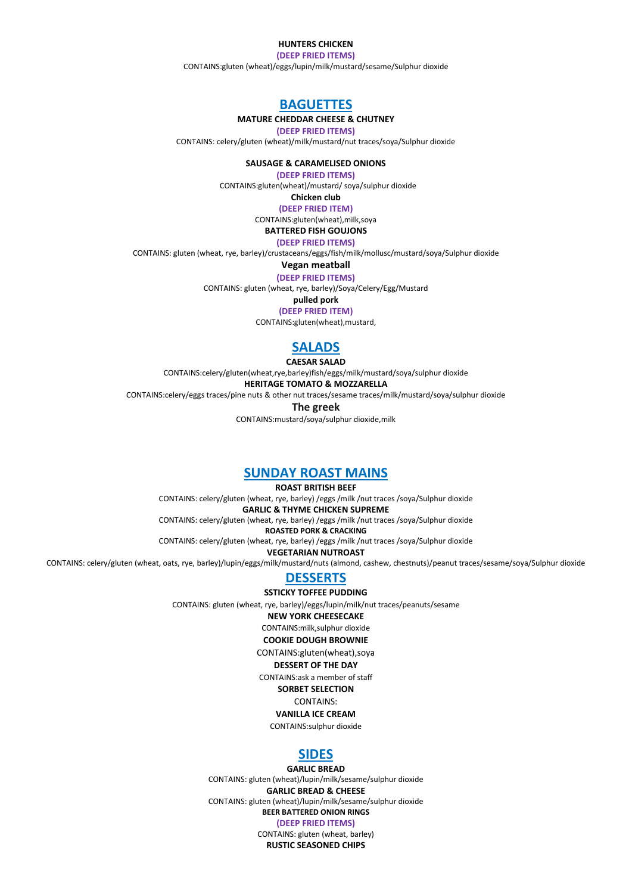### **HUNTERS CHICKEN**

**(DEEP FRIED ITEMS)** CONTAINS:gluten (wheat)/eggs/lupin/milk/mustard/sesame/Sulphur dioxide

# **BAGUETTES**

### **MATURE CHEDDAR CHEESE & CHUTNEY**

**(DEEP FRIED ITEMS)**

CONTAINS: celery/gluten (wheat)/milk/mustard/nut traces/soya/Sulphur dioxide

**SAUSAGE & CARAMELISED ONIONS**

**(DEEP FRIED ITEMS)**

CONTAINS:gluten(wheat)/mustard/ soya/sulphur dioxide

**Chicken club** 

**(DEEP FRIED ITEM)**

CONTAINS:gluten(wheat),milk,soya **BATTERED FISH GOUJONS**

**(DEEP FRIED ITEMS)**

CONTAINS: gluten (wheat, rye, barley)/crustaceans/eggs/fish/milk/mollusc/mustard/soya/Sulphur dioxide

**Vegan meatball**

**(DEEP FRIED ITEMS)**

CONTAINS: gluten (wheat, rye, barley)/Soya/Celery/Egg/Mustard

**pulled pork** 

**(DEEP FRIED ITEM)**

CONTAINS:gluten(wheat),mustard,

## **SALADS**

**CAESAR SALAD**

CONTAINS:celery/gluten(wheat,rye,barley)fish/eggs/milk/mustard/soya/sulphur dioxide

**HERITAGE TOMATO & MOZZARELLA**

CONTAINS:celery/eggs traces/pine nuts & other nut traces/sesame traces/milk/mustard/soya/sulphur dioxide

**The greek** 

CONTAINS:mustard/soya/sulphur dioxide,milk

### **SUNDAY ROAST MAINS**

**ROAST BRITISH BEEF**

CONTAINS: celery/gluten (wheat, rye, barley) /eggs /milk /nut traces /soya/Sulphur dioxide **GARLIC & THYME CHICKEN SUPREME** CONTAINS: celery/gluten (wheat, rye, barley) /eggs /milk /nut traces /soya/Sulphur dioxide **ROASTED PORK & CRACKING**

CONTAINS: celery/gluten (wheat, rye, barley) /eggs /milk /nut traces /soya/Sulphur dioxide

**VEGETARIAN NUTROAST**

CONTAINS: celery/gluten (wheat, oats, rye, barley)/lupin/eggs/milk/mustard/nuts (almond, cashew, chestnuts)/peanut traces/sesame/soya/Sulphur dioxide

# **DESSERTS**

**SSTICKY TOFFEE PUDDING**

CONTAINS: gluten (wheat, rye, barley)/eggs/lupin/milk/nut traces/peanuts/sesame

#### **NEW YORK CHEESECAKE**

CONTAINS:milk,sulphur dioxide

#### **COOKIE DOUGH BROWNIE**

CONTAINS:gluten(wheat),soya

**DESSERT OF THE DAY**

CONTAINS:ask a member of staff

**SORBET SELECTION**

CONTAINS:

## **VANILLA ICE CREAM**

CONTAINS:sulphur dioxide

### **SIDES**

**GARLIC BREAD** CONTAINS: gluten (wheat)/lupin/milk/sesame/sulphur dioxide **GARLIC BREAD & CHEESE** CONTAINS: gluten (wheat)/lupin/milk/sesame/sulphur dioxide **BEER BATTERED ONION RINGS (DEEP FRIED ITEMS)** CONTAINS: gluten (wheat, barley)

**RUSTIC SEASONED CHIPS**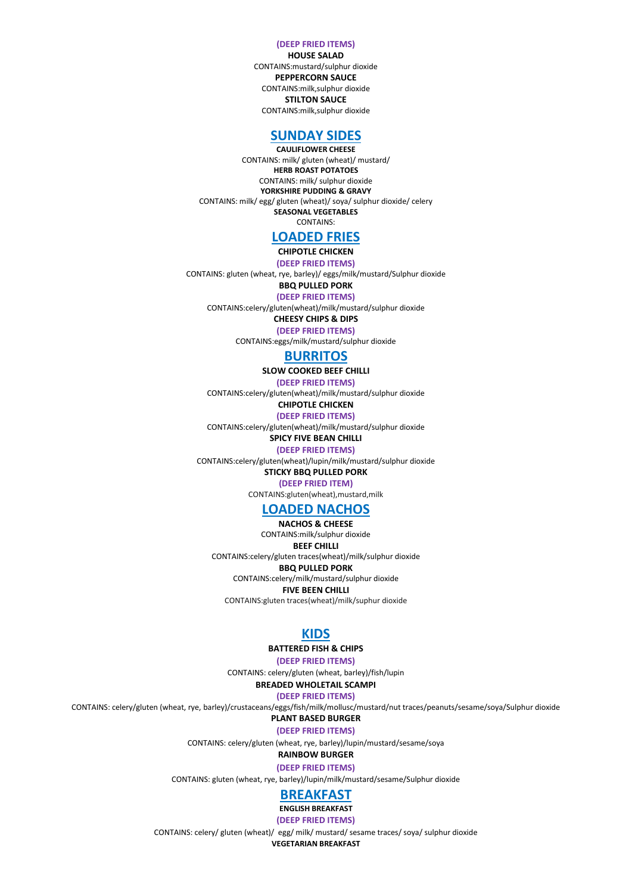#### **(DEEP FRIED ITEMS)**

**HOUSE SALAD**  CONTAINS:mustard/sulphur dioxide **PEPPERCORN SAUCE** CONTAINS:milk,sulphur dioxide **STILTON SAUCE** CONTAINS:milk,sulphur dioxide

## **SUNDAY SIDES**

**CAULIFLOWER CHEESE** CONTAINS: milk/ gluten (wheat)/ mustard/ **HERB ROAST POTATOES** CONTAINS: milk/ sulphur dioxide **YORKSHIRE PUDDING & GRAVY** CONTAINS: milk/ egg/ gluten (wheat)/ soya/ sulphur dioxide/ celery **SEASONAL VEGETABLES** CONTAINS:

## **LOADED FRIES**

### **CHIPOTLE CHICKEN**

**(DEEP FRIED ITEMS)**

CONTAINS: gluten (wheat, rye, barley)/ eggs/milk/mustard/Sulphur dioxide

**BBQ PULLED PORK**

**(DEEP FRIED ITEMS)** CONTAINS:celery/gluten(wheat)/milk/mustard/sulphur dioxide

**CHEESY CHIPS & DIPS** 

**(DEEP FRIED ITEMS)**

CONTAINS:eggs/milk/mustard/sulphur dioxide

## **BURRITOS**

**SLOW COOKED BEEF CHILLI**

**(DEEP FRIED ITEMS)**

CONTAINS:celery/gluten(wheat)/milk/mustard/sulphur dioxide

**CHIPOTLE CHICKEN**

**(DEEP FRIED ITEMS)**

CONTAINS:celery/gluten(wheat)/milk/mustard/sulphur dioxide

#### **SPICY FIVE BEAN CHILLI (DEEP FRIED ITEMS)**

CONTAINS:celery/gluten(wheat)/lupin/milk/mustard/sulphur dioxide

**STICKY BBQ PULLED PORK**

**(DEEP FRIED ITEM)** CONTAINS:gluten(wheat),mustard,milk

## **LOADED NACHOS**

**NACHOS & CHEESE** CONTAINS:milk/sulphur dioxide

## **BEEF CHILLI**

CONTAINS:celery/gluten traces(wheat)/milk/sulphur dioxide **BBQ PULLED PORK**  CONTAINS:celery/milk/mustard/sulphur dioxide

**FIVE BEEN CHILLI** CONTAINS:gluten traces(wheat)/milk/suphur dioxide

### **KIDS**

### **BATTERED FISH & CHIPS**

**(DEEP FRIED ITEMS)**

CONTAINS: celery/gluten (wheat, barley)/fish/lupin

**BREADED WHOLETAIL SCAMPI (DEEP FRIED ITEMS)**

CONTAINS: celery/gluten (wheat, rye, barley)/crustaceans/eggs/fish/milk/mollusc/mustard/nut traces/peanuts/sesame/soya/Sulphur dioxide

**PLANT BASED BURGER**

**(DEEP FRIED ITEMS)**

CONTAINS: celery/gluten (wheat, rye, barley)/lupin/mustard/sesame/soya

## **RAINBOW BURGER**

**(DEEP FRIED ITEMS)** CONTAINS: gluten (wheat, rye, barley)/lupin/milk/mustard/sesame/Sulphur dioxide

### **BREAKFAST**

### **ENGLISH BREAKFAST**

**(DEEP FRIED ITEMS)**

CONTAINS: celery/ gluten (wheat)/ egg/ milk/ mustard/ sesame traces/ soya/ sulphur dioxide

**VEGETARIAN BREAKFAST**